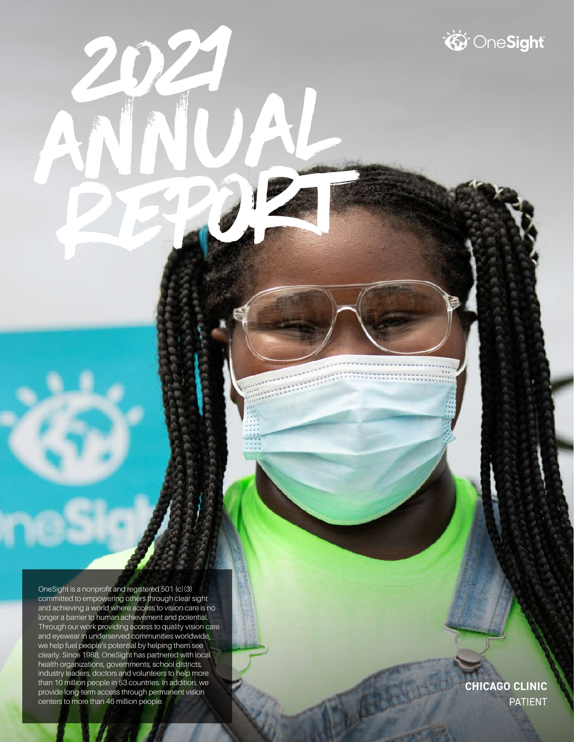OneSight is a nonprofit and registered 501 (c)(3) committed to empowering others through clear sight and achieving a world where access to vision care is no longer a barrier to human achievement and potential. Through our work providing access to quality vision care and eyewear in underserved communities worldwide, we help fuel people's potential by helping them see clearly. Since 1988, OneSight has partnered with local health organizations, governments, school districts, industry leaders, doctors and volunteers to help more than 10 million people in 53 countries. In addition, we provide long-term access through permanent vision centers to more than 46 million people.

2021

Annual

Report of the contract of

**CHICAGO CLINIC** PATIENT

**DeSight**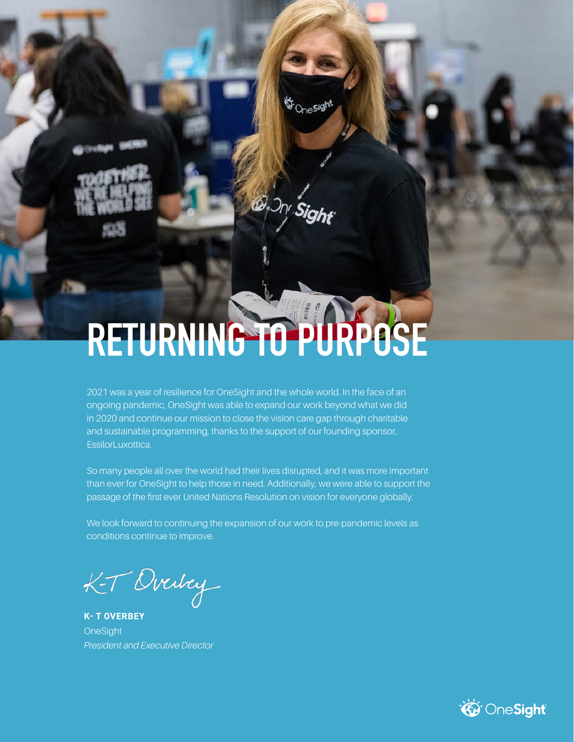# **RETURNING TO PURPOSE**

S-Onesight

2021 was a year of resilience for OneSight and the whole world. In the face of an ongoing pandemic, OneSight was able to expand our work beyond what we did in 2020 and continue our mission to close the vision care gap through charitable and sustainable programming, thanks to the support of our founding sponsor, EssilorLuxottica.

So many people all over the world had their lives disrupted, and it was more important than ever for OneSight to help those in need. Additionally, we were able to support the passage of the first ever United Nations Resolution on vision for everyone globally.

We look forward to continuing the expansion of our work to pre-pandemic levels as conditions continue to improve.

K-T Overley

**K- T OVERBEY OneSight** *President and Executive Director* 

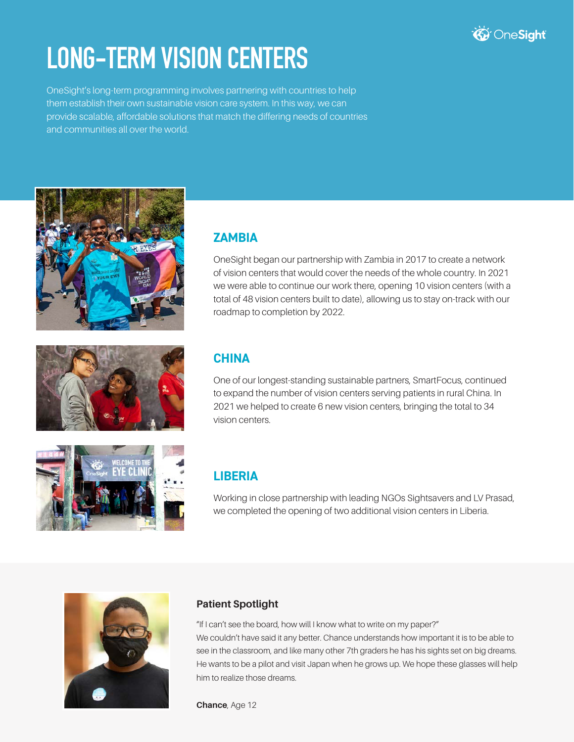

## **LONG-TERM VISION CENTERS**

OneSight's long-term programming involves partnering with countries to help them establish their own sustainable vision care system. In this way, we can provide scalable, affordable solutions that match the differing needs of countries and communities all over the world.







#### **ZAMBIA**

OneSight began our partnership with Zambia in 2017 to create a network of vision centers that would cover the needs of the whole country. In 2021 we were able to continue our work there, opening 10 vision centers (with a total of 48 vision centers built to date), allowing us to stay on-track with our roadmap to completion by 2022.

#### **CHINA**

One of our longest-standing sustainable partners, SmartFocus, continued to expand the number of vision centers serving patients in rural China. In 2021 we helped to create 6 new vision centers, bringing the total to 34 vision centers.

#### **LIBERIA**

Working in close partnership with leading NGOs Sightsavers and LV Prasad, we completed the opening of two additional vision centers in Liberia.



#### **Patient Spotlight**

"If I can't see the board, how will I know what to write on my paper?" We couldn't have said it any better. Chance understands how important it is to be able to see in the classroom, and like many other 7th graders he has his sights set on big dreams. He wants to be a pilot and visit Japan when he grows up. We hope these glasses will help him to realize those dreams.

**Chance**, Age 12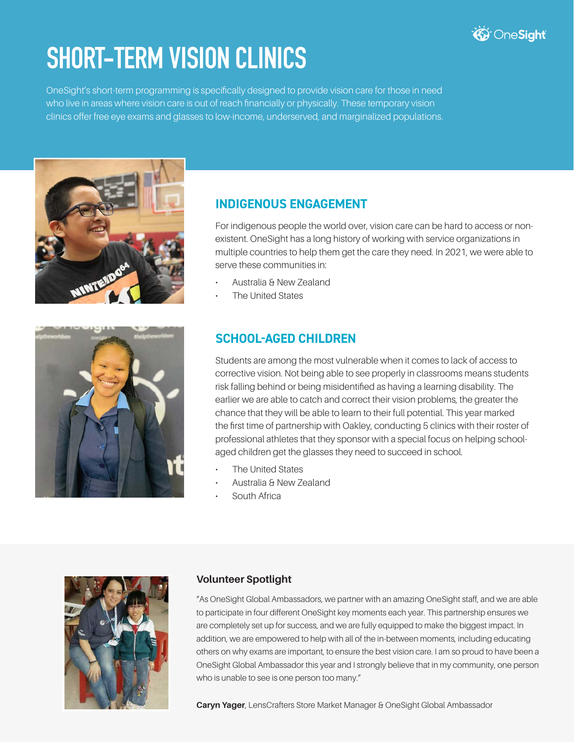

## **SHORT-TERM VISION CLINICS**

OneSight's short-term programming is specifically designed to provide vision care for those in need who live in areas where vision care is out of reach financially or physically. These temporary vision clinics offer free eye exams and glasses to low-income, underserved, and marginalized populations.





For indigenous people the world over, vision care can be hard to access or nonexistent. OneSight has a long history of working with service organizations in multiple countries to help them get the care they need. In 2021, we were able to serve these communities in:

- Australia & New Zealand
- The United States



#### **SCHOOL-AGED CHILDREN**

Students are among the most vulnerable when it comes to lack of access to corrective vision. Not being able to see properly in classrooms means students risk falling behind or being misidentified as having a learning disability. The earlier we are able to catch and correct their vision problems, the greater the chance that they will be able to learn to their full potential. This year marked the first time of partnership with Oakley, conducting 5 clinics with their roster of professional athletes that they sponsor with a special focus on helping schoolaged children get the glasses they need to succeed in school.

- **The United States**
- Australia & New Zealand
- South Africa



#### **Volunteer Spotlight**

"As OneSight Global Ambassadors, we partner with an amazing OneSight staff, and we are able to participate in four different OneSight key moments each year. This partnership ensures we are completely set up for success, and we are fully equipped to make the biggest impact. In addition, we are empowered to help with all of the in-between moments, including educating others on why exams are important, to ensure the best vision care. I am so proud to have been a OneSight Global Ambassador this year and I strongly believe that in my community, one person who is unable to see is one person too many."

**Caryn Yager**, LensCrafters Store Market Manager & OneSight Global Ambassador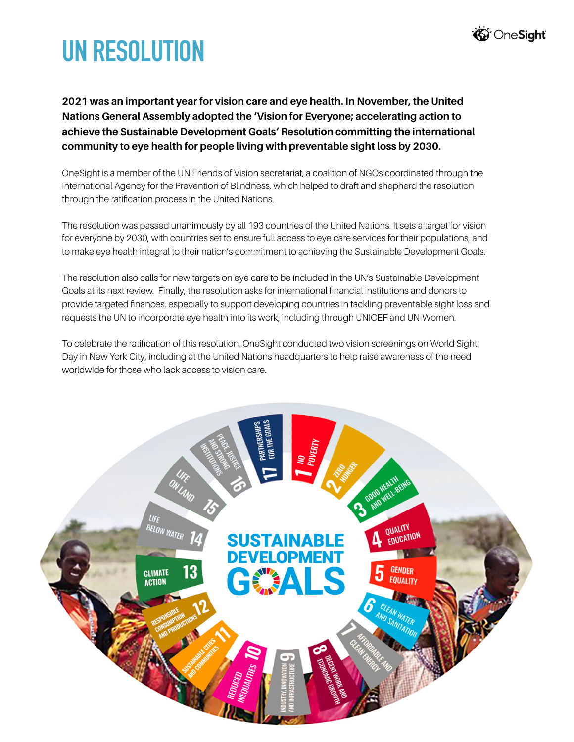

# **UN RESOLUTION**

**2021 was an important year for vision care and eye health. In November, the United Nations General Assembly adopted the 'Vision for Everyone; accelerating action to achieve the Sustainable Development Goals' Resolution committing the international community to eye health for people living with preventable sight loss by 2030.** 

OneSight is a member of the UN Friends of Vision secretariat, a coalition of NGOs coordinated through the International Agency for the Prevention of Blindness, which helped to draft and shepherd the resolution through the ratification process in the United Nations.

The resolution was passed unanimously by all 193 countries of the United Nations. It sets a target for vision for everyone by 2030, with countries set to ensure full access to eye care services for their populations, and to make eye health integral to their nation's commitment to achieving the Sustainable Development Goals.

The resolution also calls for new targets on eye care to be included in the UN's Sustainable Development Goals at its next review. Finally, the resolution asks for international financial institutions and donors to provide targeted finances, especially to support developing countries in tackling preventable sight loss and requests the UN to incorporate eye health into its work, including through UNICEF and UN-Women.

To celebrate the ratification of this resolution, OneSight conducted two vision screenings on World Sight Day in New York City, including at the United Nations headquarters to help raise awareness of the need worldwide for those who lack access to vision care.

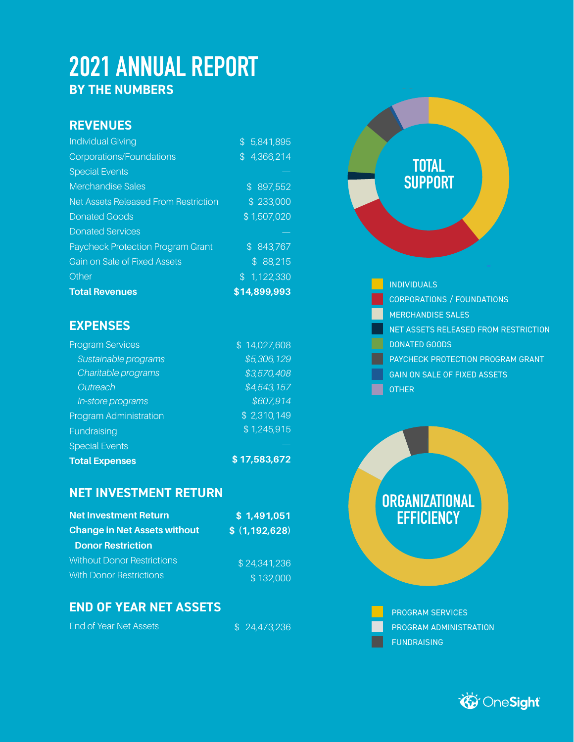## **2021 ANNUAL REPORT BY THE NUMBERS**

#### **REVENUES**

| <b>Individual Giving</b>                    | \$5,841,895  |
|---------------------------------------------|--------------|
| <b>Corporations/Foundations</b>             | \$4,366,214  |
| <b>Special Events</b>                       |              |
| <b>Merchandise Sales</b>                    | \$897,552    |
| <b>Net Assets Released From Restriction</b> | \$233,000    |
| <b>Donated Goods</b>                        | \$1,507,020  |
| <b>Donated Services</b>                     |              |
| <b>Paycheck Protection Program Grant</b>    | \$843,767    |
| Gain on Sale of Fixed Assets                | \$88,215     |
| Other                                       | \$1,122,330  |
| <b>Total Revenues</b>                       | \$14,899,993 |

#### **EXPENSES**

| <b>Program Services</b>       | \$14,027,608 |
|-------------------------------|--------------|
| Sustainable programs          | \$5,306,129  |
| Charitable programs           | \$3,570,408  |
| Outreach                      | \$4,543,157  |
| In-store programs             | \$607,914    |
| <b>Program Administration</b> | \$2,310,149  |
| Fundraising                   | \$1,245,915  |
| <b>Special Events</b>         |              |
| <b>Total Expenses</b>         | \$17,583,672 |

#### **NET INVESTMENT RETURN**

| <b>Net Investment Return</b>        | \$1,491,051     |
|-------------------------------------|-----------------|
| <b>Change in Net Assets without</b> | \$(1, 192, 628) |
| <b>Donor Restriction</b>            |                 |
| <b>Without Donor Restrictions</b>   | \$24,341,236    |
| <b>With Donor Restrictions</b>      | \$132,000       |

#### **END OF YEAR NET ASSETS**

End of Year Net Assets

\$ 24,473,236

# **TOTAL SUPPORT**

INDIVIDUALS CORPORATIONS / FOUNDATIONS MERCHANDISE SALES NET ASSETS RELEASED FROM RESTRICTION DONATED GOODS PAYCHECK PROTECTION PROGRAM GRANT GAIN ON SALE OF FIXED ASSETS OTHER

### **ORGANIZATIONAL EFFICIENCY**

PROGRAM SERVICES PROGRAM ADMINISTRATION FUNDRAISING

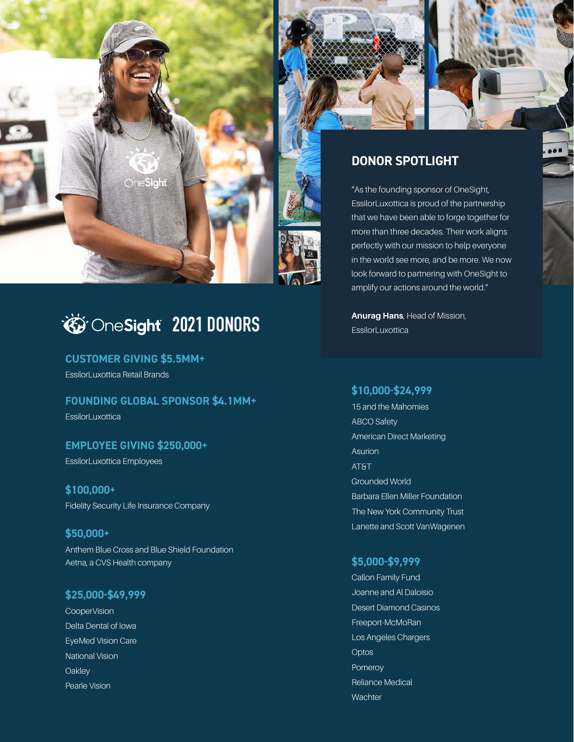



#### **DONOR SPOTLIGHT**

"As the founding sponsor of OneSight, EssilorLuxottica is proud of the partnership that we have been able to forge together for more than three decades. Their work aligns perfectly with our mission to help everyone in the world see more, and be more. We now look forward to partnering with OneSight to amplify our actions around the world."

**Anurag Hans**, Head of Mission, **EssilorLuxottica** 

**\$10,000-\$24,999**

15 and the Mahomies ABCO Safety American Direct Marketing Asurion AT&T Grounded World Barbara Ellen Miller Foundation The New York Community Trust Lanette and Scott VanWagenen

#### **\$5,000-\$9,999**

Callon Family Fund Joanne and Al Daloisio Desert Diamond Casinos Freeport-McMoRan Los Angeles Chargers **Optos** Pomeroy Reliance Medical **Wachter** 

### *<u>External condenst</u>*

#### **CUSTOMER GIVING \$5.5MM+**

EssilorLuxottica Retail Brands

#### **FOUNDING GLOBAL SPONSOR \$4.1MM+**

EssilorLuxottica

#### **EMPLOYEE GIVING \$250,000+**

EssilorLuxottica Employees

#### **\$100,000+** Fidelity Security Life Insurance Company

**\$50,000+** Anthem Blue Cross and Blue Shield Foundation Aetna, a CVS Health company

#### **\$25,000-\$49,999**

**CooperVision** Delta Dental of Iowa EyeMed Vision Care National Vision **Oakley** Pearle Vision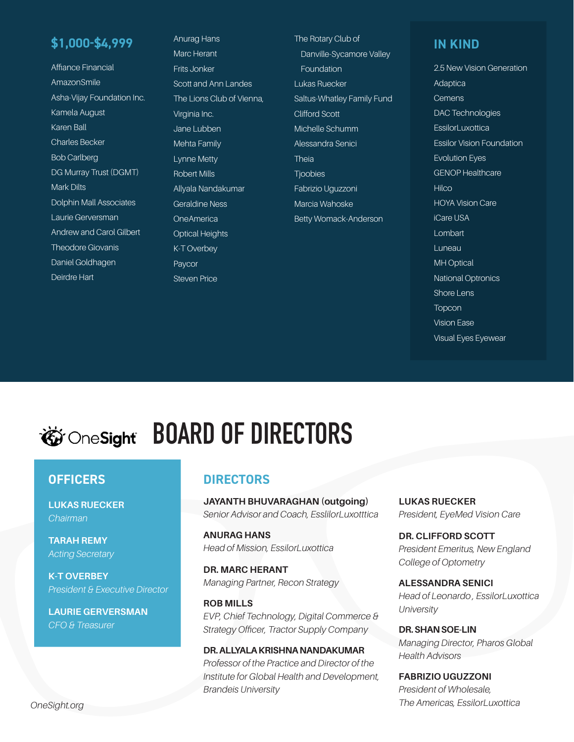#### **\$1,000-\$4,999**

Affiance Financial **AmazonSmile** Asha-Vijay Foundation Inc. Kamela August Karen Ball Charles Becker Bob Carlberg DG Murray Trust (DGMT) Mark Dilts Dolphin Mall Associates Laurie Gerversman Andrew and Carol Gilbert Theodore Giovanis Daniel Goldhagen Deirdre Hart

Anurag Hans Marc Herant Frits Jonker Scott and Ann Landes The Lions Club of Vienna, Virginia Inc. Jane Lubben Mehta Family Lynne Metty Robert Mills Allyala Nandakumar Geraldine Ness **OneAmerica** Optical Heights K-T Overbey Paycor Steven Price

The Rotary Club of Danville-Sycamore Valley Foundation Lukas Ruecker Saltus-Whatley Family Fund Clifford Scott Michelle Schumm Alessandra Senici Theia **Tjoobies** Fabrizio Uguzzoni Marcia Wahoske Betty Womack-Anderson

#### **IN KIND**

2.5 New Vision Generation Adaptica **Cemens** DAC Technologies **EssilorLuxottica** Essilor Vision Foundation Evolution Eyes GENOP Healthcare **Hilco** HOYA Vision Care iCare USA Lombart Luneau MH Optical National Optronics Shore Lens Topcon Vision Ease Visual Eyes Eyewear

## *EDARD* OF DIRECTORS

#### **OFFICERS**

**LUKAS RUECKER** *Chairman*

**TARAH REMY** *Acting Secretary*

**K-T OVERBEY** *President & Executive Director*

**LAURIE GERVERSMAN** *CFO & Treasurer*

#### **DIRECTORS**

**JAYANTH BHUVARAGHAN (outgoing)** *Senior Advisor and Coach, EsslilorLuxotttica*

**ANURAG HANS** *Head of Mission, EssilorLuxottica*

**DR. MARC HERANT** *Managing Partner, Recon Strategy*

**ROB MILLS** *EVP, Chief Technology, Digital Commerce & Strategy Officer, Tractor Supply Company*

#### **DR. ALLYALA KRISHNA NANDAKUMAR**

*Professor of the Practice and Director of the Institute for Global Health and Development, Brandeis University*

**LUKAS RUECKER** *President, EyeMed Vision Care*

**DR. CLIFFORD SCOTT** *President Emeritus, New England College of Optometry*

**ALESSANDRA SENICI** *Head of Leonardo , EssilorLuxottica University*

**DR. SHAN SOE-LIN** *Managing Director, Pharos Global Health Advisors*

**FABRIZIO UGUZZONI** *President of Wholesale, OneSight.org The Americas, EssilorLuxottica*